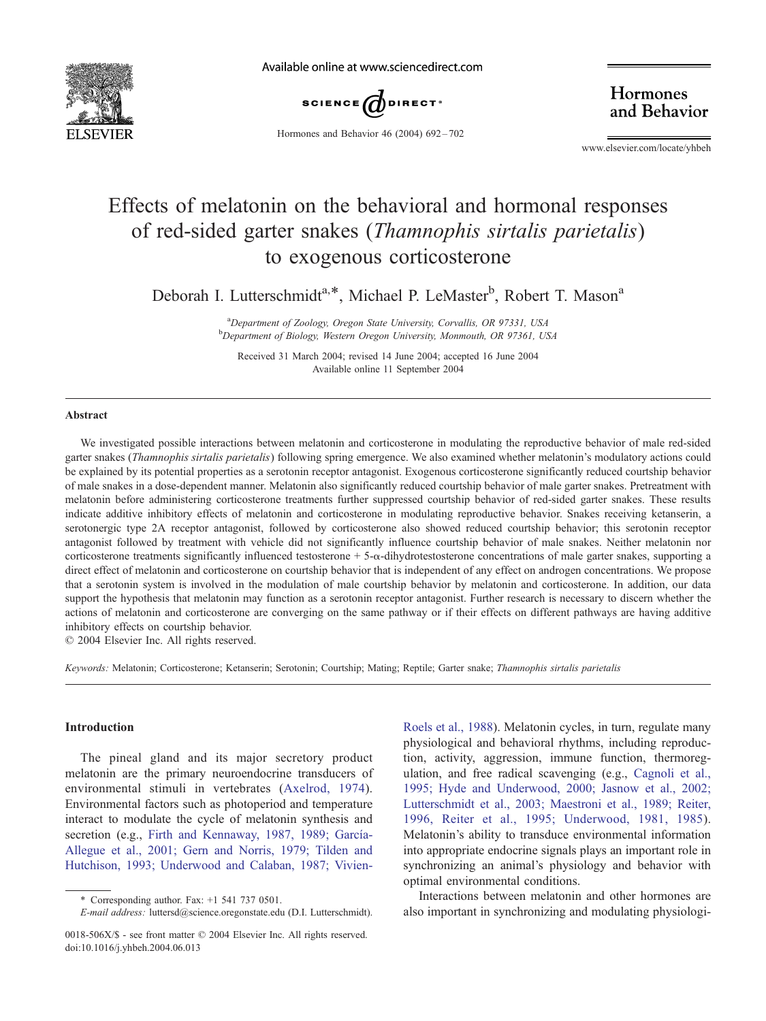

Available online at www.sciencedirect.com



Hormones and Behavior 46 (2004) 692 – 702

Hormones and Behavior

www.elsevier.com/locate/yhbeh

# Effects of melatonin on the behavioral and hormonal responses of red-sided garter snakes (Thamnophis sirtalis parietalis) to exogenous corticosterone

Deborah I. Lutterschmidt<sup>a,\*</sup>, Michael P. LeMaster<sup>b</sup>, Robert T. Mason<sup>a</sup>

<sup>a</sup> Department of Zoology, Oregon State University, Corvallis, OR 97331, USA<br><sup>b</sup> Department of Biology, Western Oregon University, Monmouth, OR 97361, US <sup>b</sup>Department of Biology, Western Oregon University, Monmouth, OR 97361, USA

Received 31 March 2004; revised 14 June 2004; accepted 16 June 2004 Available online 11 September 2004

## Abstract

We investigated possible interactions between melatonin and corticosterone in modulating the reproductive behavior of male red-sided garter snakes (Thamnophis sirtalis parietalis) following spring emergence. We also examined whether melatonin's modulatory actions could be explained by its potential properties as a serotonin receptor antagonist. Exogenous corticosterone significantly reduced courtship behavior of male snakes in a dose-dependent manner. Melatonin also significantly reduced courtship behavior of male garter snakes. Pretreatment with melatonin before administering corticosterone treatments further suppressed courtship behavior of red-sided garter snakes. These results indicate additive inhibitory effects of melatonin and corticosterone in modulating reproductive behavior. Snakes receiving ketanserin, a serotonergic type 2A receptor antagonist, followed by corticosterone also showed reduced courtship behavior; this serotonin receptor antagonist followed by treatment with vehicle did not significantly influence courtship behavior of male snakes. Neither melatonin nor corticosterone treatments significantly influenced testosterone +  $5-\alpha$ -dihydrotestosterone concentrations of male garter snakes, supporting a direct effect of melatonin and corticosterone on courtship behavior that is independent of any effect on androgen concentrations. We propose that a serotonin system is involved in the modulation of male courtship behavior by melatonin and corticosterone. In addition, our data support the hypothesis that melatonin may function as a serotonin receptor antagonist. Further research is necessary to discern whether the actions of melatonin and corticosterone are converging on the same pathway or if their effects on different pathways are having additive inhibitory effects on courtship behavior.

 $© 2004 Elsevier Inc. All rights reserved.$ 

Keywords: Melatonin; Corticosterone; Ketanserin; Serotonin; Courtship; Mating; Reptile; Garter snake; Thamnophis sirtalis parietalis

# Introduction

The pineal gland and its major secretory product melatonin are the primary neuroendocrine transducers of environmental stimuli in vertebrates ([Axelrod, 1974\)](#page-8-0). Environmental factors such as photoperiod and temperature interact to modulate the cycle of melatonin synthesis and secretion (e.g., Firth and Kennaway, 1987, 1989; García-Allegue et al., 2001; Gern and Norris, 1979; Tilden and Hutchison, 1993; Underwood and Calaban, 1987; VivienRoels et al., 1988). Melatonin cycles, in turn, regulate many physiological and behavioral rhythms, including reproduction, activity, aggression, immune function, thermoregulation, and free radical scavenging (e.g., [Cagnoli et al.,](#page-8-0) 1995; Hyde and Underwood, 2000; Jasnow et al., 2002; Lutterschmidt et al., 2003; Maestroni et al., 1989; Reiter, 1996, Reiter et al., 1995; Underwood, 1981, 1985). Melatonin's ability to transduce environmental information into appropriate endocrine signals plays an important role in synchronizing an animal's physiology and behavior with optimal environmental conditions.

Interactions between melatonin and other hormones are also important in synchronizing and modulating physiologi-

<sup>\*</sup> Corresponding author. Fax:  $+1$  541 737 0501.

E-mail address: luttersd@science.oregonstate.edu (D.I. Lutterschmidt).

<sup>0018-506</sup>X/\$ - see front matter © 2004 Elsevier Inc. All rights reserved. doi:10.1016/j.yhbeh.2004.06.013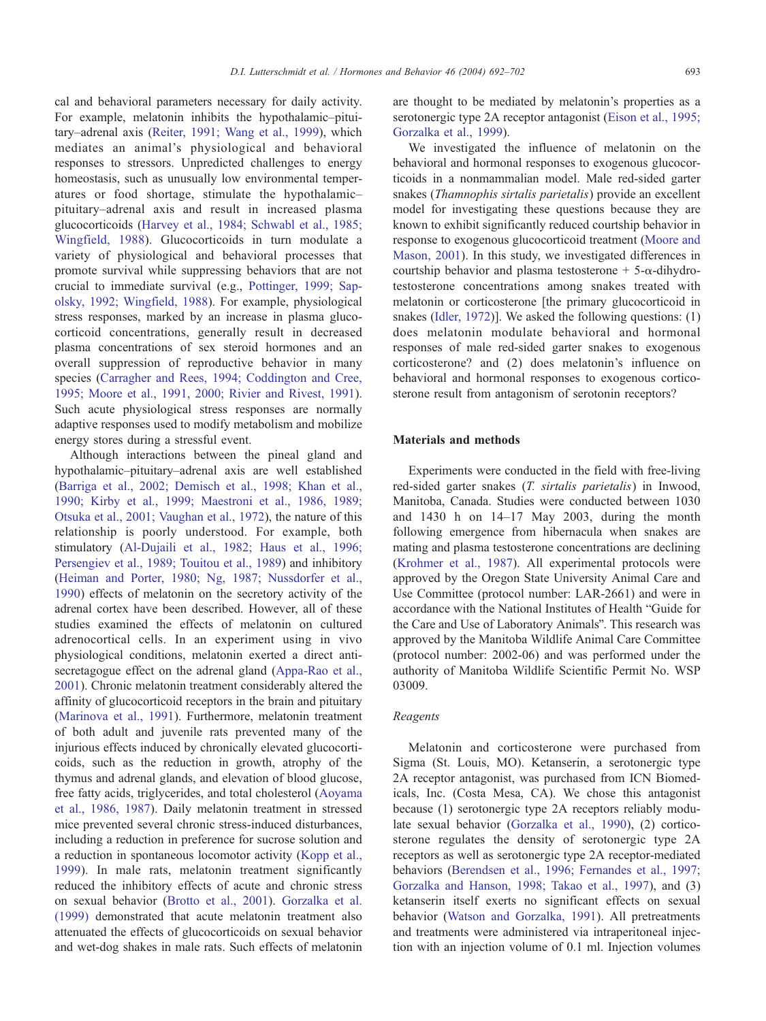cal and behavioral parameters necessary for daily activity. For example, melatonin inhibits the hypothalamic–pituitary–adrenal axis ([Reiter, 1991; Wang et al., 1999\)](#page-9-0), which mediates an animal's physiological and behavioral responses to stressors. Unpredicted challenges to energy homeostasis, such as unusually low environmental temperatures or food shortage, stimulate the hypothalamic– pituitary–adrenal axis and result in increased plasma glucocorticoids ([Harvey et al., 1984; Schwabl et al., 1985;](#page-8-0) Wingfield, 1988). Glucocorticoids in turn modulate a variety of physiological and behavioral processes that promote survival while suppressing behaviors that are not crucial to immediate survival (e.g., [Pottinger, 1999; Sap](#page-9-0)olsky, 1992; Wingfield, 1988). For example, physiological stress responses, marked by an increase in plasma glucocorticoid concentrations, generally result in decreased plasma concentrations of sex steroid hormones and an overall suppression of reproductive behavior in many species [\(Carragher and Rees, 1994; Coddington and Cree,](#page-8-0) 1995; Moore et al., 1991, 2000; Rivier and Rivest, 1991). Such acute physiological stress responses are normally adaptive responses used to modify metabolism and mobilize energy stores during a stressful event.

Although interactions between the pineal gland and hypothalamic–pituitary–adrenal axis are well established ([Barriga et al., 2002; Demisch et al., 1998; Khan et al.,](#page-8-0) 1990; Kirby et al., 1999; Maestroni et al., 1986, 1989; Otsuka et al., 2001; Vaughan et al., 1972), the nature of this relationship is poorly understood. For example, both stimulatory ([Al-Dujaili et al., 1982; Haus et al., 1996;](#page-8-0) Persengiev et al., 1989; Touitou et al., 1989) and inhibitory ([Heiman and Porter, 1980; Ng, 1987; Nussdorfer et al.,](#page-9-0) 1990) effects of melatonin on the secretory activity of the adrenal cortex have been described. However, all of these studies examined the effects of melatonin on cultured adrenocortical cells. In an experiment using in vivo physiological conditions, melatonin exerted a direct antisecretagogue effect on the adrenal gland ([Appa-Rao et al.,](#page-8-0) 2001). Chronic melatonin treatment considerably altered the affinity of glucocorticoid receptors in the brain and pituitary ([Marinova et al., 1991\)](#page-9-0). Furthermore, melatonin treatment of both adult and juvenile rats prevented many of the injurious effects induced by chronically elevated glucocorticoids, such as the reduction in growth, atrophy of the thymus and adrenal glands, and elevation of blood glucose, free fatty acids, triglycerides, and total cholesterol ([Aoyama](#page-8-0) et al., 1986, 1987). Daily melatonin treatment in stressed mice prevented several chronic stress-induced disturbances, including a reduction in preference for sucrose solution and a reduction in spontaneous locomotor activity ([Kopp et al.,](#page-9-0) 1999). In male rats, melatonin treatment significantly reduced the inhibitory effects of acute and chronic stress on sexual behavior ([Brotto et al., 2001\)](#page-8-0). [Gorzalka et al.](#page-8-0) (1999) demonstrated that acute melatonin treatment also attenuated the effects of glucocorticoids on sexual behavior and wet-dog shakes in male rats. Such effects of melatonin

are thought to be mediated by melatonin's properties as a serotonergic type 2A receptor antagonist ([Eison et al., 1995;](#page-8-0) Gorzalka et al., 1999).

We investigated the influence of melatonin on the behavioral and hormonal responses to exogenous glucocorticoids in a nonmammalian model. Male red-sided garter snakes (Thamnophis sirtalis parietalis) provide an excellent model for investigating these questions because they are known to exhibit significantly reduced courtship behavior in response to exogenous glucocorticoid treatment ([Moore and](#page-9-0) Mason, 2001). In this study, we investigated differences in courtship behavior and plasma testosterone  $+$  5- $\alpha$ -dihydrotestosterone concentrations among snakes treated with melatonin or corticosterone [the primary glucocorticoid in snakes ([Idler, 1972\)](#page-9-0)]. We asked the following questions: (1) does melatonin modulate behavioral and hormonal responses of male red-sided garter snakes to exogenous corticosterone? and (2) does melatonin's influence on behavioral and hormonal responses to exogenous corticosterone result from antagonism of serotonin receptors?

# Materials and methods

Experiments were conducted in the field with free-living red-sided garter snakes (T. sirtalis parietalis) in Inwood, Manitoba, Canada. Studies were conducted between 1030 and 1430 h on 14–17 May 2003, during the month following emergence from hibernacula when snakes are mating and plasma testosterone concentrations are declining ([Krohmer et al., 1987\)](#page-9-0). All experimental protocols were approved by the Oregon State University Animal Care and Use Committee (protocol number: LAR-2661) and were in accordance with the National Institutes of Health "Guide for the Care and Use of Laboratory Animals". This research was approved by the Manitoba Wildlife Animal Care Committee (protocol number: 2002-06) and was performed under the authority of Manitoba Wildlife Scientific Permit No. WSP 03009.

## Reagents

Melatonin and corticosterone were purchased from Sigma (St. Louis, MO). Ketanserin, a serotonergic type 2A receptor antagonist, was purchased from ICN Biomedicals, Inc. (Costa Mesa, CA). We chose this antagonist because (1) serotonergic type 2A receptors reliably modulate sexual behavior ([Gorzalka et al., 1990\)](#page-8-0), (2) corticosterone regulates the density of serotonergic type 2A receptors as well as serotonergic type 2A receptor-mediated behaviors ([Berendsen et al., 1996; Fernandes et al., 1997;](#page-8-0) Gorzalka and Hanson, 1998; Takao et al., 1997), and (3) ketanserin itself exerts no significant effects on sexual behavior ([Watson and Gorzalka, 1991\)](#page-10-0). All pretreatments and treatments were administered via intraperitoneal injection with an injection volume of 0.1 ml. Injection volumes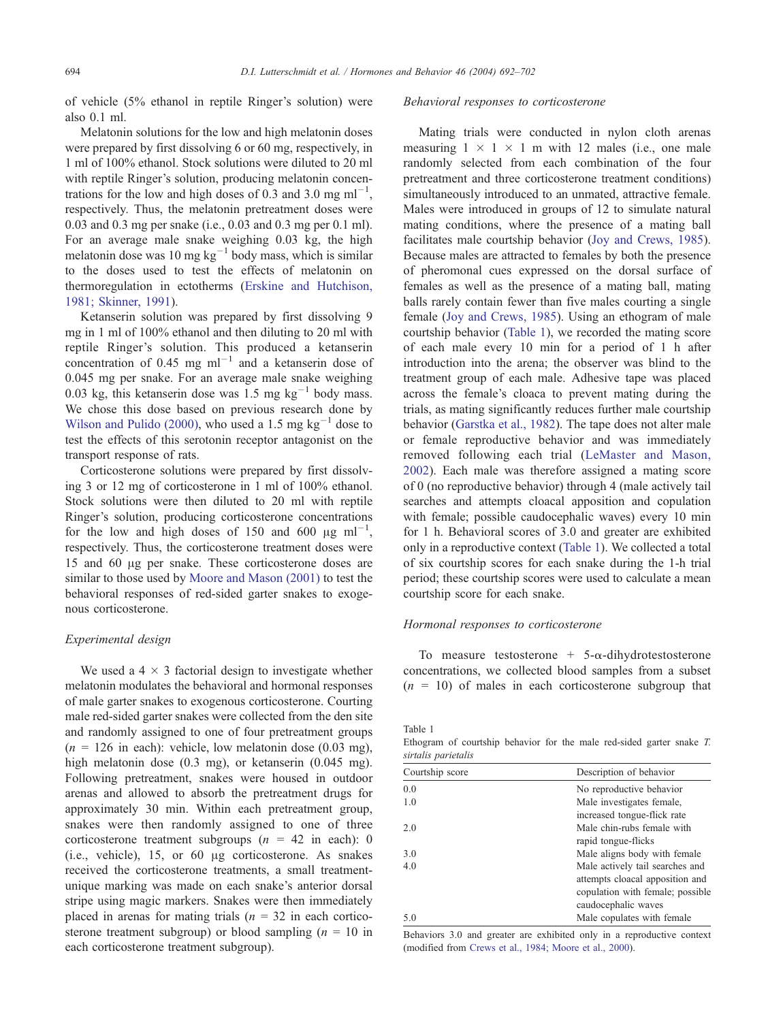of vehicle (5% ethanol in reptile Ringer's solution) were also 0.1 ml.

Melatonin solutions for the low and high melatonin doses were prepared by first dissolving 6 or 60 mg, respectively, in 1 ml of 100% ethanol. Stock solutions were diluted to 20 ml with reptile Ringer's solution, producing melatonin concentrations for the low and high doses of 0.3 and 3.0 mg  $ml^{-1}$ , respectively. Thus, the melatonin pretreatment doses were 0.03 and 0.3 mg per snake (i.e., 0.03 and 0.3 mg per 0.1 ml). For an average male snake weighing 0.03 kg, the high melatonin dose was 10 mg  $kg^{-1}$  body mass, which is similar to the doses used to test the effects of melatonin on thermoregulation in ectotherms ([Erskine and Hutchison,](#page-8-0) 1981; Skinner, 1991).

Ketanserin solution was prepared by first dissolving 9 mg in 1 ml of 100% ethanol and then diluting to 20 ml with reptile Ringer's solution. This produced a ketanserin concentration of 0.45 mg  $ml^{-1}$  and a ketanserin dose of 0.045 mg per snake. For an average male snake weighing 0.03 kg, this ketanserin dose was  $1.5 \text{ mg kg}^{-1}$  body mass. We chose this dose based on previous research done by [Wilson and Pulido \(2000\),](#page-10-0) who used a 1.5 mg  $kg^{-1}$  dose to test the effects of this serotonin receptor antagonist on the transport response of rats.

Corticosterone solutions were prepared by first dissolving 3 or 12 mg of corticosterone in 1 ml of 100% ethanol. Stock solutions were then diluted to 20 ml with reptile Ringer's solution, producing corticosterone concentrations for the low and high doses of 150 and 600  $\mu$ g ml<sup>-1</sup>, respectively. Thus, the corticosterone treatment doses were 15 and 60  $\mu$ g per snake. These corticosterone doses are similar to those used by [Moore and Mason \(2001\)](#page-9-0) to test the behavioral responses of red-sided garter snakes to exogenous corticosterone.

## Experimental design

We used a  $4 \times 3$  factorial design to investigate whether melatonin modulates the behavioral and hormonal responses of male garter snakes to exogenous corticosterone. Courting male red-sided garter snakes were collected from the den site and randomly assigned to one of four pretreatment groups  $(n = 126$  in each): vehicle, low melatonin dose (0.03 mg), high melatonin dose (0.3 mg), or ketanserin (0.045 mg). Following pretreatment, snakes were housed in outdoor arenas and allowed to absorb the pretreatment drugs for approximately 30 min. Within each pretreatment group, snakes were then randomly assigned to one of three corticosterone treatment subgroups  $(n = 42$  in each): 0 (i.e., vehicle),  $15$ , or  $60 \mu$ g corticosterone. As snakes received the corticosterone treatments, a small treatmentunique marking was made on each snake's anterior dorsal stripe using magic markers. Snakes were then immediately placed in arenas for mating trials ( $n = 32$  in each corticosterone treatment subgroup) or blood sampling  $(n = 10$  in each corticosterone treatment subgroup).

## Behavioral responses to corticosterone

Mating trials were conducted in nylon cloth arenas measuring  $1 \times 1 \times 1$  m with 12 males (i.e., one male randomly selected from each combination of the four pretreatment and three corticosterone treatment conditions) simultaneously introduced to an unmated, attractive female. Males were introduced in groups of 12 to simulate natural mating conditions, where the presence of a mating ball facilitates male courtship behavior ([Joy and Crews, 1985\)](#page-9-0). Because males are attracted to females by both the presence of pheromonal cues expressed on the dorsal surface of females as well as the presence of a mating ball, mating balls rarely contain fewer than five males courting a single female ([Joy and Crews, 1985\)](#page-9-0). Using an ethogram of male courtship behavior (Table 1), we recorded the mating score of each male every 10 min for a period of 1 h after introduction into the arena; the observer was blind to the treatment group of each male. Adhesive tape was placed across the female's cloaca to prevent mating during the trials, as mating significantly reduces further male courtship behavior ([Garstka et al., 1982\)](#page-8-0). The tape does not alter male or female reproductive behavior and was immediately removed following each trial ([LeMaster and Mason,](#page-9-0) 2002). Each male was therefore assigned a mating score of 0 (no reproductive behavior) through 4 (male actively tail searches and attempts cloacal apposition and copulation with female; possible caudocephalic waves) every 10 min for 1 h. Behavioral scores of 3.0 and greater are exhibited only in a reproductive context (Table 1). We collected a total of six courtship scores for each snake during the 1-h trial period; these courtship scores were used to calculate a mean courtship score for each snake.

## Hormonal responses to corticosterone

To measure testosterone  $+$  5- $\alpha$ -dihydrotestosterone concentrations, we collected blood samples from a subset  $(n = 10)$  of males in each corticosterone subgroup that

Table 1

Ethogram of courtship behavior for the male red-sided garter snake T. sirtalis parietalis

| Courtship score | Description of behavior          |  |  |
|-----------------|----------------------------------|--|--|
| 0.0             | No reproductive behavior         |  |  |
| 1.0             | Male investigates female,        |  |  |
|                 | increased tongue-flick rate      |  |  |
| 2.0             | Male chin-rubs female with       |  |  |
|                 | rapid tongue-flicks              |  |  |
| 3.0             | Male aligns body with female     |  |  |
| 4.0             | Male actively tail searches and  |  |  |
|                 | attempts cloacal apposition and  |  |  |
|                 | copulation with female; possible |  |  |
|                 | caudocephalic waves              |  |  |
| 5.0             | Male copulates with female       |  |  |

Behaviors 3.0 and greater are exhibited only in a reproductive context (modified from [Crews et al., 1984; Moore et al., 2000\)](#page-8-0).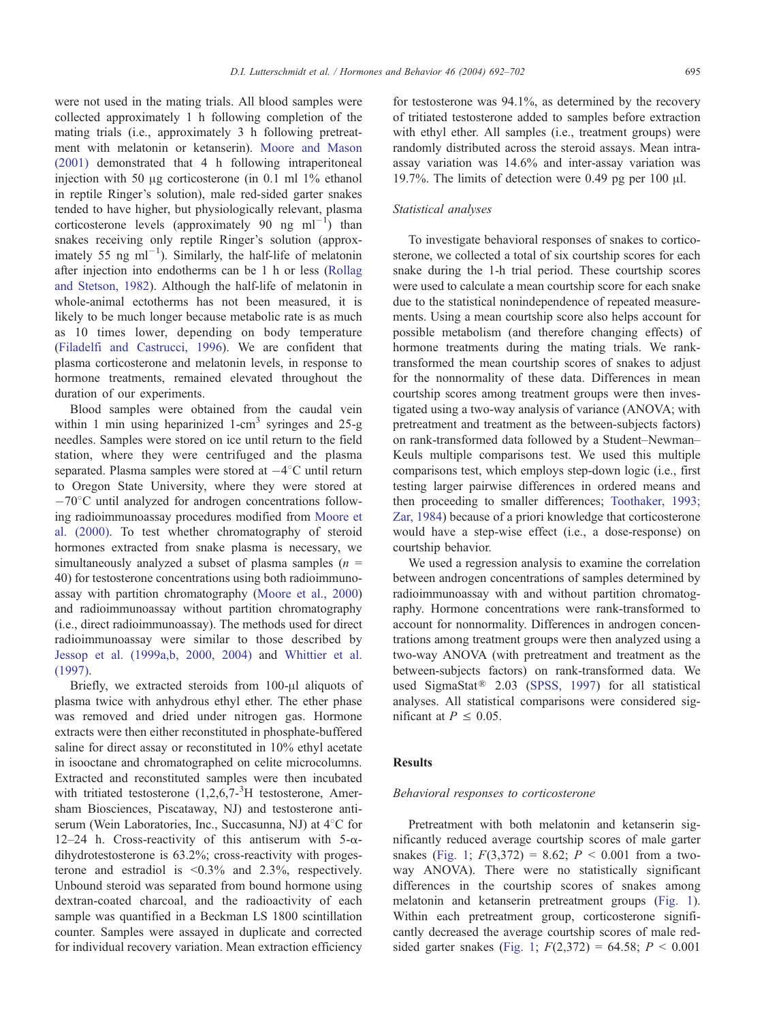were not used in the mating trials. All blood samples were collected approximately 1 h following completion of the mating trials (i.e., approximately 3 h following pretreatment with melatonin or ketanserin). [Moore and Mason](#page-9-0) (2001) demonstrated that 4 h following intraperitoneal injection with 50  $\mu$ g corticosterone (in 0.1 ml 1% ethanol in reptile Ringer's solution), male red-sided garter snakes tended to have higher, but physiologically relevant, plasma corticosterone levels (approximately 90 ng  $ml^{-1}$ ) than snakes receiving only reptile Ringer's solution (approximately 55 ng  $ml^{-1}$ ). Similarly, the half-life of melatonin after injection into endotherms can be 1 h or less ([Rollag](#page-10-0) and Stetson, 1982). Although the half-life of melatonin in whole-animal ectotherms has not been measured, it is likely to be much longer because metabolic rate is as much as 10 times lower, depending on body temperature ([Filadelfi and Castrucci, 1996\)](#page-8-0). We are confident that plasma corticosterone and melatonin levels, in response to hormone treatments, remained elevated throughout the duration of our experiments.

Blood samples were obtained from the caudal vein within 1 min using heparinized 1-cm<sup>3</sup> syringes and  $25-g$ needles. Samples were stored on ice until return to the field station, where they were centrifuged and the plasma separated. Plasma samples were stored at  $-4^{\circ}$ C until return to Oregon State University, where they were stored at  $-70^{\circ}$ C until analyzed for androgen concentrations following radioimmunoassay procedures modified from [Moore et](#page-9-0) al. (2000). To test whether chromatography of steroid hormones extracted from snake plasma is necessary, we simultaneously analyzed a subset of plasma samples ( $n =$ 40) for testosterone concentrations using both radioimmunoassay with partition chromatography ([Moore et al., 2000\)](#page-9-0) and radioimmunoassay without partition chromatography (i.e., direct radioimmunoassay). The methods used for direct radioimmunoassay were similar to those described by [Jessop et al. \(1999a,b, 2000, 2004\)](#page-9-0) and [Whittier et al.](#page-10-0) (1997).

Briefly, we extracted steroids from 100-µl aliquots of plasma twice with anhydrous ethyl ether. The ether phase was removed and dried under nitrogen gas. Hormone extracts were then either reconstituted in phosphate-buffered saline for direct assay or reconstituted in 10% ethyl acetate in isooctane and chromatographed on celite microcolumns. Extracted and reconstituted samples were then incubated with tritiated testosterone  $(1,2,6,7<sup>3</sup>H)$  testosterone, Amersham Biosciences, Piscataway, NJ) and testosterone antiserum (Wein Laboratories, Inc., Succasunna, NJ) at 4°C for 12–24 h. Cross-reactivity of this antiserum with  $5-\alpha$ dihydrotestosterone is 63.2%; cross-reactivity with progesterone and estradiol is  $\leq 0.3\%$  and 2.3%, respectively. Unbound steroid was separated from bound hormone using dextran-coated charcoal, and the radioactivity of each sample was quantified in a Beckman LS 1800 scintillation counter. Samples were assayed in duplicate and corrected for individual recovery variation. Mean extraction efficiency

for testosterone was 94.1%, as determined by the recovery of tritiated testosterone added to samples before extraction with ethyl ether. All samples (i.e., treatment groups) were randomly distributed across the steroid assays. Mean intraassay variation was 14.6% and inter-assay variation was 19.7%. The limits of detection were 0.49 pg per 100  $\mu$ l.

# Statistical analyses

To investigate behavioral responses of snakes to corticosterone, we collected a total of six courtship scores for each snake during the 1-h trial period. These courtship scores were used to calculate a mean courtship score for each snake due to the statistical nonindependence of repeated measurements. Using a mean courtship score also helps account for possible metabolism (and therefore changing effects) of hormone treatments during the mating trials. We ranktransformed the mean courtship scores of snakes to adjust for the nonnormality of these data. Differences in mean courtship scores among treatment groups were then investigated using a two-way analysis of variance (ANOVA; with pretreatment and treatment as the between-subjects factors) on rank-transformed data followed by a Student–Newman– Keuls multiple comparisons test. We used this multiple comparisons test, which employs step-down logic (i.e., first testing larger pairwise differences in ordered means and then proceeding to smaller differences; [Toothaker, 1993;](#page-10-0) Zar, 1984) because of a priori knowledge that corticosterone would have a step-wise effect (i.e., a dose-response) on courtship behavior.

We used a regression analysis to examine the correlation between androgen concentrations of samples determined by radioimmunoassay with and without partition chromatography. Hormone concentrations were rank-transformed to account for nonnormality. Differences in androgen concentrations among treatment groups were then analyzed using a two-way ANOVA (with pretreatment and treatment as the between-subjects factors) on rank-transformed data. We used SigmaStat<sup>®</sup> 2.03 ([SPSS, 1997\)](#page-10-0) for all statistical analyses. All statistical comparisons were considered significant at  $P \le 0.05$ .

# Results

## Behavioral responses to corticosterone

Pretreatment with both melatonin and ketanserin significantly reduced average courtship scores of male garter snakes ([Fig. 1;](#page-4-0)  $F(3,372) = 8.62$ ;  $P < 0.001$  from a twoway ANOVA). There were no statistically significant differences in the courtship scores of snakes among melatonin and ketanserin pretreatment groups ([Fig. 1\)](#page-4-0). Within each pretreatment group, corticosterone significantly decreased the average courtship scores of male red-sided garter snakes ([Fig. 1;](#page-4-0)  $F(2,372) = 64.58$ ;  $P < 0.001$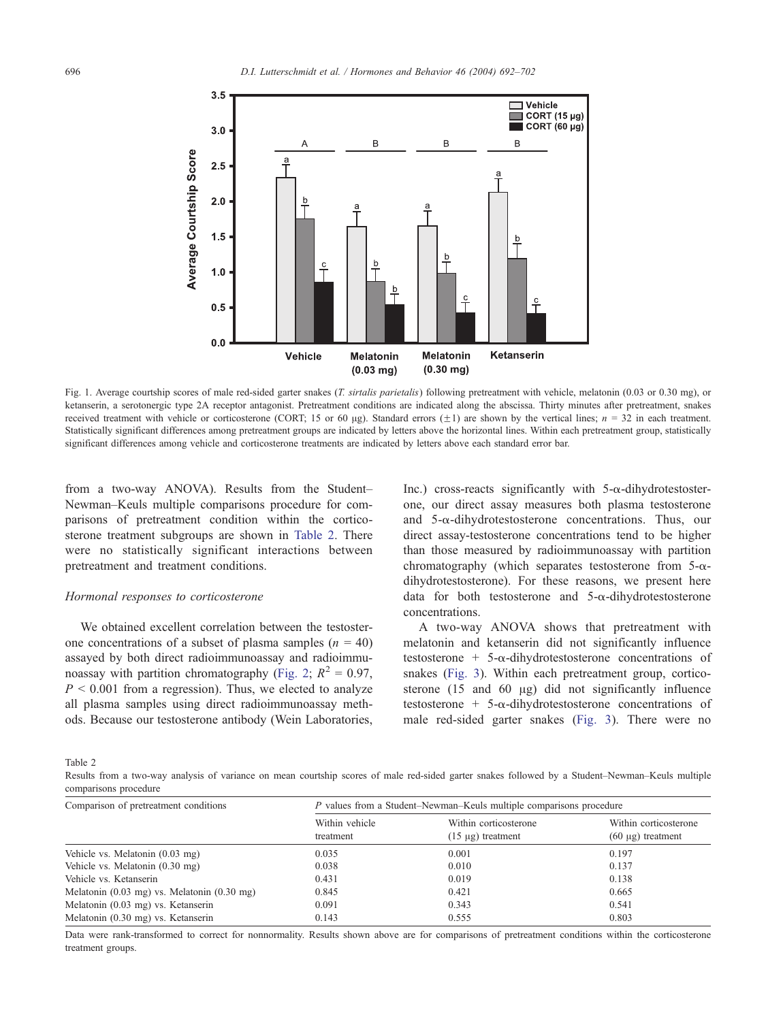<span id="page-4-0"></span>

Fig. 1. Average courtship scores of male red-sided garter snakes (T. sirtalis parietalis) following pretreatment with vehicle, melatonin (0.03 or 0.30 mg), or ketanserin, a serotonergic type 2A receptor antagonist. Pretreatment conditions are indicated along the abscissa. Thirty minutes after pretreatment, snakes received treatment with vehicle or corticosterone (CORT; 15 or 60 µg). Standard errors  $(\pm 1)$  are shown by the vertical lines;  $n = 32$  in each treatment. Statistically significant differences among pretreatment groups are indicated by letters above the horizontal lines. Within each pretreatment group, statistically significant differences among vehicle and corticosterone treatments are indicated by letters above each standard error bar.

from a two-way ANOVA). Results from the Student– Newman–Keuls multiple comparisons procedure for comparisons of pretreatment condition within the corticosterone treatment subgroups are shown in Table 2. There were no statistically significant interactions between pretreatment and treatment conditions.

#### Hormonal responses to corticosterone

We obtained excellent correlation between the testosterone concentrations of a subset of plasma samples  $(n = 40)$ assayed by both direct radioimmunoassay and radioimmu-noassay with partition chromatography ([Fig. 2;](#page-5-0)  $R^2 = 0.97$ ,  $P < 0.001$  from a regression). Thus, we elected to analyze all plasma samples using direct radioimmunoassay methods. Because our testosterone antibody (Wein Laboratories,

Inc.) cross-reacts significantly with  $5-\alpha$ -dihydrotestosterone, our direct assay measures both plasma testosterone and  $5-\alpha$ -dihydrotestosterone concentrations. Thus, our direct assay-testosterone concentrations tend to be higher than those measured by radioimmunoassay with partition chromatography (which separates testosterone from  $5-\alpha$ dihydrotestosterone). For these reasons, we present here data for both testosterone and  $5-\alpha$ -dihydrotestosterone concentrations.

A two-way ANOVA shows that pretreatment with melatonin and ketanserin did not significantly influence testosterone + 5- $\alpha$ -dihydrotestosterone concentrations of snakes ([Fig. 3\)](#page-5-0). Within each pretreatment group, corticosterone  $(15 \text{ and } 60 \text{ µg})$  did not significantly influence testosterone +  $5-\alpha$ -dihydrotestosterone concentrations of male red-sided garter snakes ([Fig. 3\)](#page-5-0). There were no

Table 2

Results from a two-way analysis of variance on mean courtship scores of male red-sided garter snakes followed by a Student–Newman–Keuls multiple comparisons procedure

| Comparison of pretreatment conditions                           | P values from a Student-Newman-Keuls multiple comparisons procedure |                                                 |                                                 |  |
|-----------------------------------------------------------------|---------------------------------------------------------------------|-------------------------------------------------|-------------------------------------------------|--|
|                                                                 | Within vehicle<br>treatment                                         | Within corticosterone<br>$(15 \mu g)$ treatment | Within corticosterone<br>$(60 \mu g)$ treatment |  |
| Vehicle vs. Melatonin (0.03 mg)                                 | 0.035                                                               | 0.001                                           | 0.197                                           |  |
| Vehicle vs. Melatonin (0.30 mg)                                 | 0.038                                                               | 0.010                                           | 0.137                                           |  |
| Vehicle vs. Ketanserin                                          | 0.431                                                               | 0.019                                           | 0.138                                           |  |
| Melatonin $(0.03 \text{ mg})$ vs. Melatonin $(0.30 \text{ mg})$ | 0.845                                                               | 0.421                                           | 0.665                                           |  |
| Melatonin (0.03 mg) vs. Ketanserin                              | 0.091                                                               | 0.343                                           | 0.541                                           |  |
| Melatonin (0.30 mg) vs. Ketanserin                              | 0.143                                                               | 0.555                                           | 0.803                                           |  |

Data were rank-transformed to correct for nonnormality. Results shown above are for comparisons of pretreatment conditions within the corticosterone treatment groups.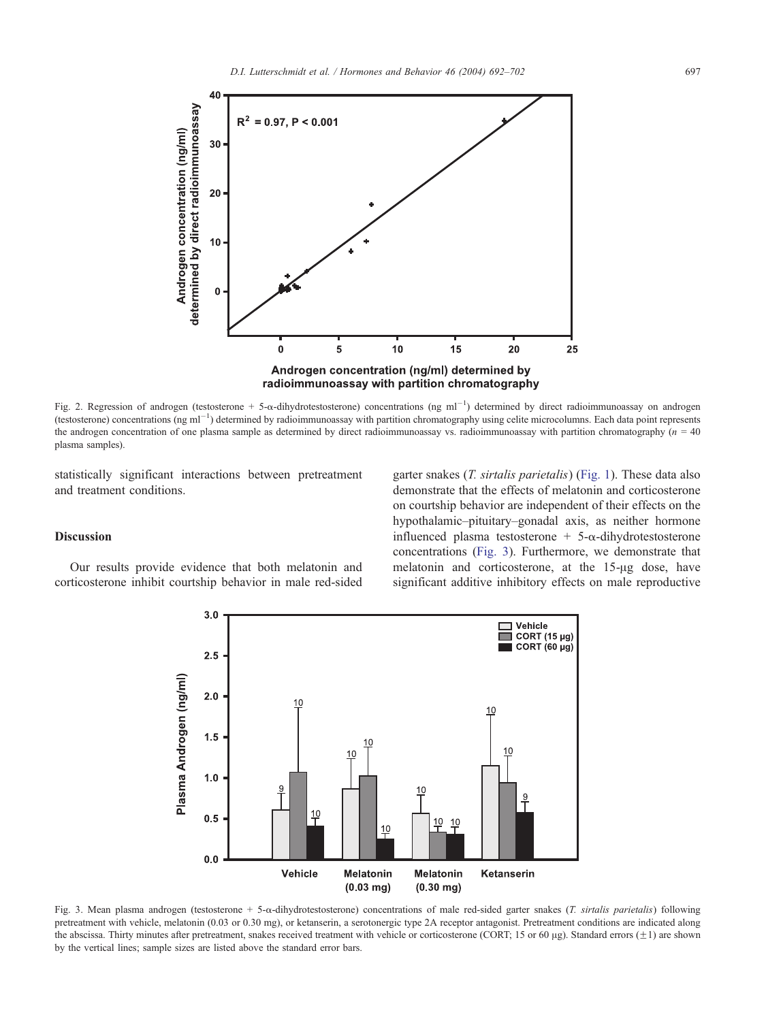<span id="page-5-0"></span>

Fig. 2. Regression of androgen (testosterone + 5- $\alpha$ -dihydrotestosterone) concentrations (ng ml<sup>-1</sup>) determined by direct radioimmunoassay on androgen (testosterone) concentrations (ng ml<sup>-1</sup>) determined by radioimmunoassay with partition chromatography using celite microcolumns. Each data point represents the androgen concentration of one plasma sample as determined by direct radioimmunoassay vs. radioimmunoassay with partition chromatography  $(n = 40$ plasma samples).

statistically significant interactions between pretreatment and treatment conditions.

## Discussion

Our results provide evidence that both melatonin and corticosterone inhibit courtship behavior in male red-sided garter snakes (T. sirtalis parietalis) ([Fig. 1\)](#page-4-0). These data also demonstrate that the effects of melatonin and corticosterone on courtship behavior are independent of their effects on the hypothalamic–pituitary–gonadal axis, as neither hormone influenced plasma testosterone +  $5-\alpha$ -dihydrotestosterone concentrations (Fig. 3). Furthermore, we demonstrate that melatonin and corticosterone, at the 15-µg dose, have significant additive inhibitory effects on male reproductive



Fig. 3. Mean plasma androgen (testosterone + 5- $\alpha$ -dihydrotestosterone) concentrations of male red-sided garter snakes (*T. sirtalis parietalis*) following pretreatment with vehicle, melatonin (0.03 or 0.30 mg), or ketanserin, a serotonergic type 2A receptor antagonist. Pretreatment conditions are indicated along the abscissa. Thirty minutes after pretreatment, snakes received treatment with vehicle or corticosterone (CORT; 15 or 60 µg). Standard errors  $(\pm 1)$  are shown by the vertical lines; sample sizes are listed above the standard error bars.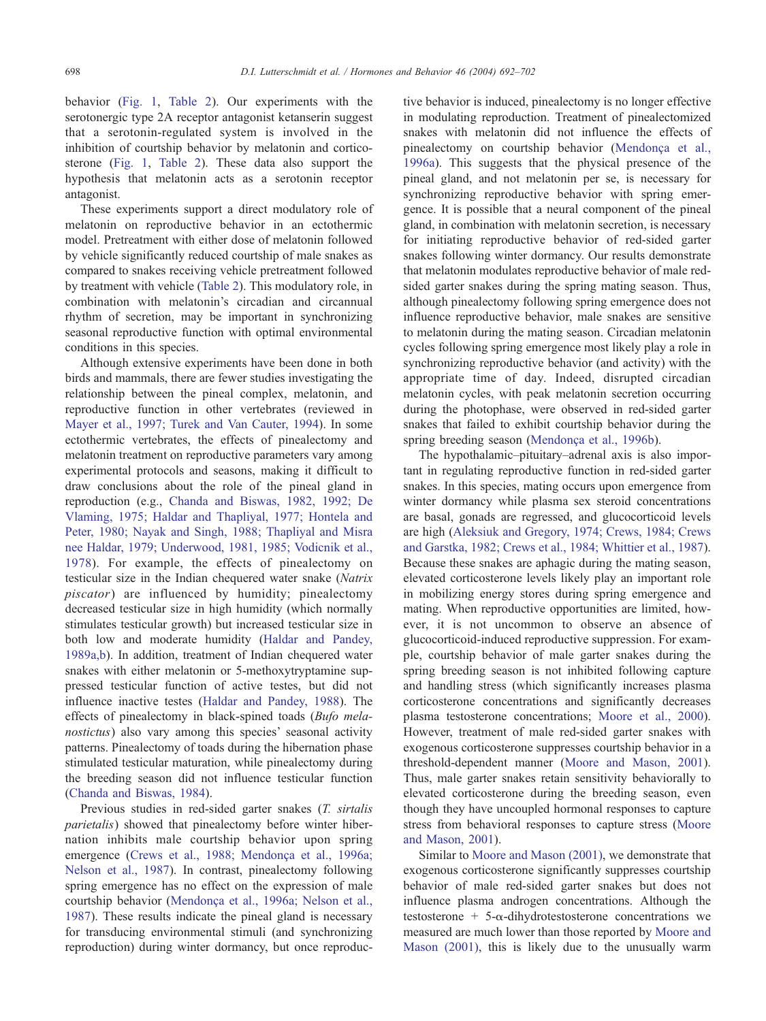behavior ([Fig. 1,](#page-4-0) [Table 2\)](#page-4-0). Our experiments with the serotonergic type 2A receptor antagonist ketanserin suggest that a serotonin-regulated system is involved in the inhibition of courtship behavior by melatonin and corticosterone ([Fig. 1](#page-4-0), [Table 2\)](#page-4-0). These data also support the hypothesis that melatonin acts as a serotonin receptor antagonist.

These experiments support a direct modulatory role of melatonin on reproductive behavior in an ectothermic model. Pretreatment with either dose of melatonin followed by vehicle significantly reduced courtship of male snakes as compared to snakes receiving vehicle pretreatment followed by treatment with vehicle ([Table 2\)](#page-4-0). This modulatory role, in combination with melatonin's circadian and circannual rhythm of secretion, may be important in synchronizing seasonal reproductive function with optimal environmental conditions in this species.

Although extensive experiments have been done in both birds and mammals, there are fewer studies investigating the relationship between the pineal complex, melatonin, and reproductive function in other vertebrates (reviewed in [Mayer et al., 1997; Turek and Van Cauter, 1994\)](#page-9-0). In some ectothermic vertebrates, the effects of pinealectomy and melatonin treatment on reproductive parameters vary among experimental protocols and seasons, making it difficult to draw conclusions about the role of the pineal gland in reproduction (e.g., [Chanda and Biswas, 1982, 1992; De](#page-8-0) Vlaming, 1975; Haldar and Thapliyal, 1977; Hontela and Peter, 1980; Nayak and Singh, 1988; Thapliyal and Misra nee Haldar, 1979; Underwood, 1981, 1985; Vodicnik et al., 1978). For example, the effects of pinealectomy on testicular size in the Indian chequered water snake (Natrix piscator) are influenced by humidity; pinealectomy decreased testicular size in high humidity (which normally stimulates testicular growth) but increased testicular size in both low and moderate humidity ([Haldar and Pandey,](#page-8-0) 1989a,b). In addition, treatment of Indian chequered water snakes with either melatonin or 5-methoxytryptamine suppressed testicular function of active testes, but did not influence inactive testes ([Haldar and Pandey, 1988\)](#page-8-0). The effects of pinealectomy in black-spined toads (Bufo melanostictus) also vary among this species' seasonal activity patterns. Pinealectomy of toads during the hibernation phase stimulated testicular maturation, while pinealectomy during the breeding season did not influence testicular function ([Chanda and Biswas, 1984\)](#page-8-0).

Previous studies in red-sided garter snakes (T. sirtalis parietalis) showed that pinealectomy before winter hibernation inhibits male courtship behavior upon spring emergence (Crews et al., 1988; Mendonça et al., 1996a; Nelson et al., 1987). In contrast, pinealectomy following spring emergence has no effect on the expression of male courtship behavior (Mendonca et al., 1996a; Nelson et al., 1987). These results indicate the pineal gland is necessary for transducing environmental stimuli (and synchronizing reproduction) during winter dormancy, but once reproductive behavior is induced, pinealectomy is no longer effective in modulating reproduction. Treatment of pinealectomized snakes with melatonin did not influence the effects of pinealectomy on courtship behavior (Mendonça et al., 1996a). This suggests that the physical presence of the pineal gland, and not melatonin per se, is necessary for synchronizing reproductive behavior with spring emergence. It is possible that a neural component of the pineal gland, in combination with melatonin secretion, is necessary for initiating reproductive behavior of red-sided garter snakes following winter dormancy. Our results demonstrate that melatonin modulates reproductive behavior of male redsided garter snakes during the spring mating season. Thus, although pinealectomy following spring emergence does not influence reproductive behavior, male snakes are sensitive to melatonin during the mating season. Circadian melatonin cycles following spring emergence most likely play a role in synchronizing reproductive behavior (and activity) with the appropriate time of day. Indeed, disrupted circadian melatonin cycles, with peak melatonin secretion occurring during the photophase, were observed in red-sided garter snakes that failed to exhibit courtship behavior during the spring breeding season (Mendonça et al., 1996b).

The hypothalamic–pituitary–adrenal axis is also important in regulating reproductive function in red-sided garter snakes. In this species, mating occurs upon emergence from winter dormancy while plasma sex steroid concentrations are basal, gonads are regressed, and glucocorticoid levels are high ([Aleksiuk and Gregory, 1974; Crews, 1984; Crews](#page-8-0) and Garstka, 1982; Crews et al., 1984; Whittier et al., 1987). Because these snakes are aphagic during the mating season, elevated corticosterone levels likely play an important role in mobilizing energy stores during spring emergence and mating. When reproductive opportunities are limited, however, it is not uncommon to observe an absence of glucocorticoid-induced reproductive suppression. For example, courtship behavior of male garter snakes during the spring breeding season is not inhibited following capture and handling stress (which significantly increases plasma corticosterone concentrations and significantly decreases plasma testosterone concentrations; [Moore et al., 2000\)](#page-9-0). However, treatment of male red-sided garter snakes with exogenous corticosterone suppresses courtship behavior in a threshold-dependent manner ([Moore and Mason, 2001\)](#page-9-0). Thus, male garter snakes retain sensitivity behaviorally to elevated corticosterone during the breeding season, even though they have uncoupled hormonal responses to capture stress from behavioral responses to capture stress ([Moore](#page-9-0) and Mason, 2001).

Similar to [Moore and Mason \(2001\),](#page-9-0) we demonstrate that exogenous corticosterone significantly suppresses courtship behavior of male red-sided garter snakes but does not influence plasma androgen concentrations. Although the testosterone + 5- $\alpha$ -dihydrotestosterone concentrations we measured are much lower than those reported by [Moore and](#page-9-0) Mason (2001), this is likely due to the unusually warm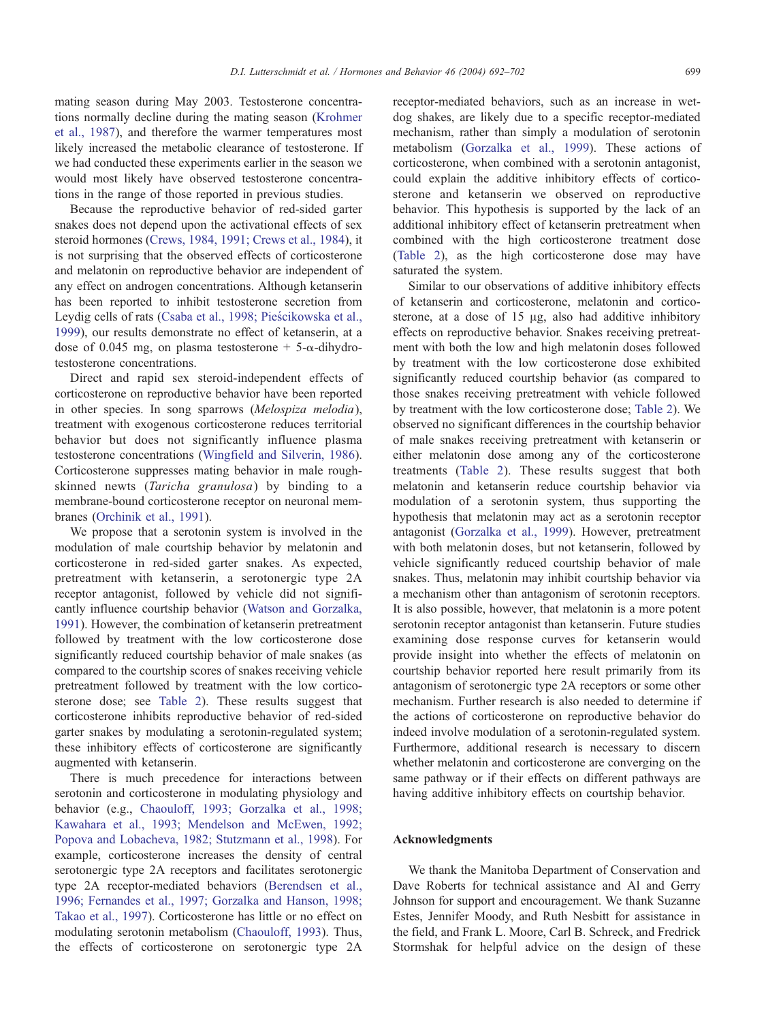mating season during May 2003. Testosterone concentrations normally decline during the mating season ([Krohmer](#page-9-0) et al., 1987), and therefore the warmer temperatures most likely increased the metabolic clearance of testosterone. If we had conducted these experiments earlier in the season we would most likely have observed testosterone concentrations in the range of those reported in previous studies.

Because the reproductive behavior of red-sided garter snakes does not depend upon the activational effects of sex steroid hormones ([Crews, 1984, 1991; Crews et al., 1984\)](#page-8-0), it is not surprising that the observed effects of corticosterone and melatonin on reproductive behavior are independent of any effect on androgen concentrations. Although ketanserin has been reported to inhibit testosterone secretion from Leydig cells of rats (Csaba et al., 1998; Pieścikowska et al., 1999), our results demonstrate no effect of ketanserin, at a dose of 0.045 mg, on plasma testosterone +  $5-\alpha$ -dihydrotestosterone concentrations.

Direct and rapid sex steroid-independent effects of corticosterone on reproductive behavior have been reported in other species. In song sparrows (Melospiza melodia), treatment with exogenous corticosterone reduces territorial behavior but does not significantly influence plasma testosterone concentrations ([Wingfield and Silverin, 1986\)](#page-10-0). Corticosterone suppresses mating behavior in male roughskinned newts (Taricha granulosa) by binding to a membrane-bound corticosterone receptor on neuronal membranes ([Orchinik et al., 1991\)](#page-9-0).

We propose that a serotonin system is involved in the modulation of male courtship behavior by melatonin and corticosterone in red-sided garter snakes. As expected, pretreatment with ketanserin, a serotonergic type 2A receptor antagonist, followed by vehicle did not significantly influence courtship behavior ([Watson and Gorzalka,](#page-10-0) 1991). However, the combination of ketanserin pretreatment followed by treatment with the low corticosterone dose significantly reduced courtship behavior of male snakes (as compared to the courtship scores of snakes receiving vehicle pretreatment followed by treatment with the low corticosterone dose; see [Table 2\)](#page-4-0). These results suggest that corticosterone inhibits reproductive behavior of red-sided garter snakes by modulating a serotonin-regulated system; these inhibitory effects of corticosterone are significantly augmented with ketanserin.

There is much precedence for interactions between serotonin and corticosterone in modulating physiology and behavior (e.g., [Chaouloff, 1993; Gorzalka et al., 1998;](#page-8-0) Kawahara et al., 1993; Mendelson and McEwen, 1992; Popova and Lobacheva, 1982; Stutzmann et al., 1998). For example, corticosterone increases the density of central serotonergic type 2A receptors and facilitates serotonergic type 2A receptor-mediated behaviors ([Berendsen et al.,](#page-8-0) 1996; Fernandes et al., 1997; Gorzalka and Hanson, 1998; Takao et al., 1997). Corticosterone has little or no effect on modulating serotonin metabolism ([Chaouloff, 1993\)](#page-8-0). Thus, the effects of corticosterone on serotonergic type 2A

receptor-mediated behaviors, such as an increase in wetdog shakes, are likely due to a specific receptor-mediated mechanism, rather than simply a modulation of serotonin metabolism ([Gorzalka et al., 1999\)](#page-8-0). These actions of corticosterone, when combined with a serotonin antagonist, could explain the additive inhibitory effects of corticosterone and ketanserin we observed on reproductive behavior. This hypothesis is supported by the lack of an additional inhibitory effect of ketanserin pretreatment when combined with the high corticosterone treatment dose ([Table 2\)](#page-4-0), as the high corticosterone dose may have saturated the system.

Similar to our observations of additive inhibitory effects of ketanserin and corticosterone, melatonin and corticosterone, at a dose of  $15 \mu g$ , also had additive inhibitory effects on reproductive behavior. Snakes receiving pretreatment with both the low and high melatonin doses followed by treatment with the low corticosterone dose exhibited significantly reduced courtship behavior (as compared to those snakes receiving pretreatment with vehicle followed by treatment with the low corticosterone dose; [Table 2\)](#page-4-0). We observed no significant differences in the courtship behavior of male snakes receiving pretreatment with ketanserin or either melatonin dose among any of the corticosterone treatments ([Table 2\)](#page-4-0). These results suggest that both melatonin and ketanserin reduce courtship behavior via modulation of a serotonin system, thus supporting the hypothesis that melatonin may act as a serotonin receptor antagonist ([Gorzalka et al., 1999\)](#page-8-0). However, pretreatment with both melatonin doses, but not ketanserin, followed by vehicle significantly reduced courtship behavior of male snakes. Thus, melatonin may inhibit courtship behavior via a mechanism other than antagonism of serotonin receptors. It is also possible, however, that melatonin is a more potent serotonin receptor antagonist than ketanserin. Future studies examining dose response curves for ketanserin would provide insight into whether the effects of melatonin on courtship behavior reported here result primarily from its antagonism of serotonergic type 2A receptors or some other mechanism. Further research is also needed to determine if the actions of corticosterone on reproductive behavior do indeed involve modulation of a serotonin-regulated system. Furthermore, additional research is necessary to discern whether melatonin and corticosterone are converging on the same pathway or if their effects on different pathways are having additive inhibitory effects on courtship behavior.

## Acknowledgments

We thank the Manitoba Department of Conservation and Dave Roberts for technical assistance and Al and Gerry Johnson for support and encouragement. We thank Suzanne Estes, Jennifer Moody, and Ruth Nesbitt for assistance in the field, and Frank L. Moore, Carl B. Schreck, and Fredrick Stormshak for helpful advice on the design of these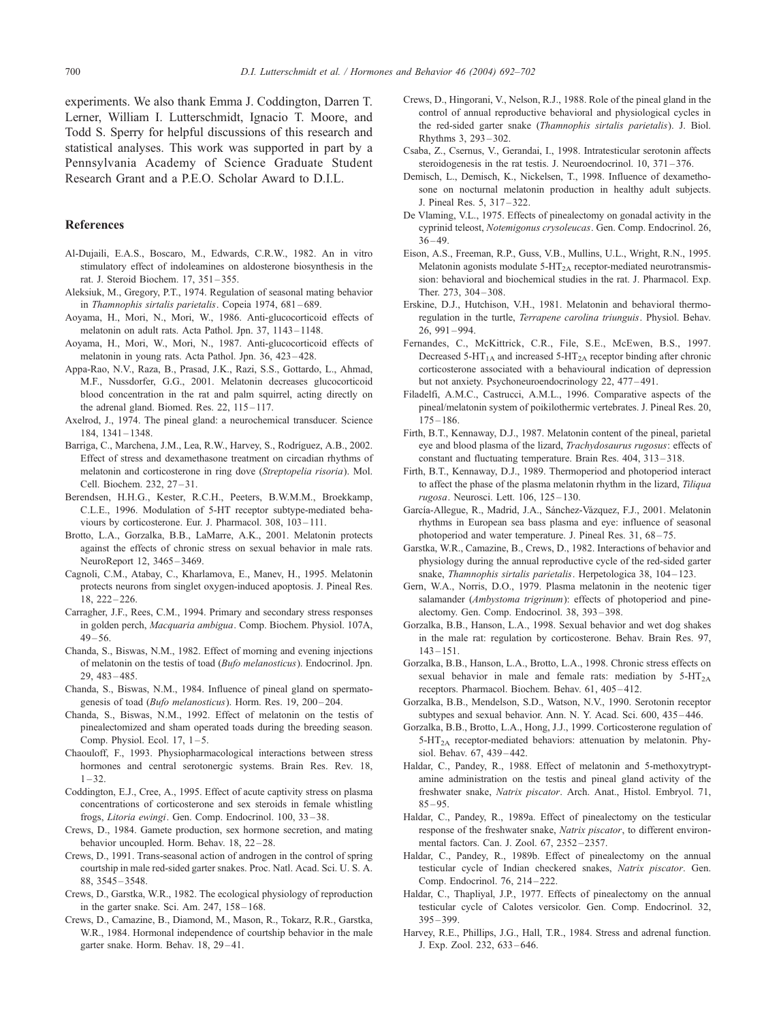<span id="page-8-0"></span>experiments. We also thank Emma J. Coddington, Darren T. Lerner, William I. Lutterschmidt, Ignacio T. Moore, and Todd S. Sperry for helpful discussions of this research and statistical analyses. This work was supported in part by a Pennsylvania Academy of Science Graduate Student Research Grant and a P.E.O. Scholar Award to D.I.L.

# References

- Al-Dujaili, E.A.S., Boscaro, M., Edwards, C.R.W., 1982. An in vitro stimulatory effect of indoleamines on aldosterone biosynthesis in the rat. J. Steroid Biochem. 17, 351 – 355.
- Aleksiuk, M., Gregory, P.T., 1974. Regulation of seasonal mating behavior in Thamnophis sirtalis parietalis. Copeia 1974, 681-689.
- Aoyama, H., Mori, N., Mori, W., 1986. Anti-glucocorticoid effects of melatonin on adult rats. Acta Pathol. Jpn. 37, 1143-1148.
- Aoyama, H., Mori, W., Mori, N., 1987. Anti-glucocorticoid effects of melatonin in young rats. Acta Pathol. Jpn. 36, 423 – 428.
- Appa-Rao, N.V., Raza, B., Prasad, J.K., Razi, S.S., Gottardo, L., Ahmad, M.F., Nussdorfer, G.G., 2001. Melatonin decreases glucocorticoid blood concentration in the rat and palm squirrel, acting directly on the adrenal gland. Biomed. Res. 22, 115-117.
- Axelrod, J., 1974. The pineal gland: a neurochemical transducer. Science 184, 1341 – 1348.
- Barriga, C., Marchena, J.M., Lea, R.W., Harvey, S., Rodríguez, A.B., 2002. Effect of stress and dexamethasone treatment on circadian rhythms of melatonin and corticosterone in ring dove (Streptopelia risoria). Mol. Cell. Biochem. 232, 27-31.
- Berendsen, H.H.G., Kester, R.C.H., Peeters, B.W.M.M., Broekkamp, C.L.E., 1996. Modulation of 5-HT receptor subtype-mediated behaviours by corticosterone. Eur. J. Pharmacol. 308, 103-111.
- Brotto, L.A., Gorzalka, B.B., LaMarre, A.K., 2001. Melatonin protects against the effects of chronic stress on sexual behavior in male rats. NeuroReport 12, 3465 – 3469.
- Cagnoli, C.M., Atabay, C., Kharlamova, E., Manev, H., 1995. Melatonin protects neurons from singlet oxygen-induced apoptosis. J. Pineal Res. 18, 222 – 226.
- Carragher, J.F., Rees, C.M., 1994. Primary and secondary stress responses in golden perch, Macquaria ambigua. Comp. Biochem. Physiol. 107A,  $49 - 56$ .
- Chanda, S., Biswas, N.M., 1982. Effect of morning and evening injections of melatonin on the testis of toad (Bufo melanosticus). Endocrinol. Jpn. 29, 483 – 485.
- Chanda, S., Biswas, N.M., 1984. Influence of pineal gland on spermatogenesis of toad (Bufo melanosticus). Horm. Res. 19, 200-204.
- Chanda, S., Biswas, N.M., 1992. Effect of melatonin on the testis of pinealectomized and sham operated toads during the breeding season. Comp. Physiol. Ecol.  $17, 1-5$ .
- Chaouloff, F., 1993. Physiopharmacological interactions between stress hormones and central serotonergic systems. Brain Res. Rev. 18,  $1 - 32.$
- Coddington, E.J., Cree, A., 1995. Effect of acute captivity stress on plasma concentrations of corticosterone and sex steroids in female whistling frogs, Litoria ewingi. Gen. Comp. Endocrinol. 100, 33 – 38.
- Crews, D., 1984. Gamete production, sex hormone secretion, and mating behavior uncoupled. Horm. Behav. 18, 22-28.
- Crews, D., 1991. Trans-seasonal action of androgen in the control of spring courtship in male red-sided garter snakes. Proc. Natl. Acad. Sci. U. S. A. 88, 3545 – 3548.
- Crews, D., Garstka, W.R., 1982. The ecological physiology of reproduction in the garter snake. Sci. Am. 247, 158 – 168.
- Crews, D., Camazine, B., Diamond, M., Mason, R., Tokarz, R.R., Garstka, W.R., 1984. Hormonal independence of courtship behavior in the male garter snake. Horm. Behav. 18, 29-41.
- Crews, D., Hingorani, V., Nelson, R.J., 1988. Role of the pineal gland in the control of annual reproductive behavioral and physiological cycles in the red-sided garter snake (Thamnophis sirtalis parietalis). J. Biol. Rhythms 3, 293 – 302.
- Csaba, Z., Csernus, V., Gerandai, I., 1998. Intratesticular serotonin affects steroidogenesis in the rat testis. J. Neuroendocrinol. 10, 371-376.
- Demisch, L., Demisch, K., Nickelsen, T., 1998. Influence of dexamethosone on nocturnal melatonin production in healthy adult subjects. J. Pineal Res. 5, 317 – 322.
- De Vlaming, V.L., 1975. Effects of pinealectomy on gonadal activity in the cyprinid teleost, Notemigonus crysoleucas. Gen. Comp. Endocrinol. 26,  $36 - 49.$
- Eison, A.S., Freeman, R.P., Guss, V.B., Mullins, U.L., Wright, R.N., 1995. Melatonin agonists modulate 5-HT<sub>2A</sub> receptor-mediated neurotransmission: behavioral and biochemical studies in the rat. J. Pharmacol. Exp. Ther. 273, 304 – 308.
- Erskine, D.J., Hutchison, V.H., 1981. Melatonin and behavioral thermoregulation in the turtle, Terrapene carolina triunguis. Physiol. Behav. 26, 991 – 994.
- Fernandes, C., McKittrick, C.R., File, S.E., McEwen, B.S., 1997. Decreased 5-HT<sub>1A</sub> and increased 5-HT<sub>2A</sub> receptor binding after chronic corticosterone associated with a behavioural indication of depression but not anxiety. Psychoneuroendocrinology 22, 477 – 491.
- Filadelfi, A.M.C., Castrucci, A.M.L., 1996. Comparative aspects of the pineal/melatonin system of poikilothermic vertebrates. J. Pineal Res. 20, 175 – 186.
- Firth, B.T., Kennaway, D.J., 1987. Melatonin content of the pineal, parietal eye and blood plasma of the lizard, Trachydosaurus rugosus: effects of constant and fluctuating temperature. Brain Res. 404, 313 – 318.
- Firth, B.T., Kennaway, D.J., 1989. Thermoperiod and photoperiod interact to affect the phase of the plasma melatonin rhythm in the lizard, Tiliqua rugosa. Neurosci. Lett. 106, 125 – 130.
- García-Allegue, R., Madrid, J.A., Sánchez-Vázquez, F.J., 2001. Melatonin rhythms in European sea bass plasma and eye: influence of seasonal photoperiod and water temperature. J. Pineal Res. 31, 68-75.
- Garstka, W.R., Camazine, B., Crews, D., 1982. Interactions of behavior and physiology during the annual reproductive cycle of the red-sided garter snake, Thamnophis sirtalis parietalis. Herpetologica 38, 104-123.
- Gern, W.A., Norris, D.O., 1979. Plasma melatonin in the neotenic tiger salamander (Ambystoma trigrinum): effects of photoperiod and pinealectomy. Gen. Comp. Endocrinol. 38, 393 – 398.
- Gorzalka, B.B., Hanson, L.A., 1998. Sexual behavior and wet dog shakes in the male rat: regulation by corticosterone. Behav. Brain Res. 97,  $143 - 151$
- Gorzalka, B.B., Hanson, L.A., Brotto, L.A., 1998. Chronic stress effects on sexual behavior in male and female rats: mediation by  $5-HT_{2A}$ receptors. Pharmacol. Biochem. Behav. 61, 405 – 412.
- Gorzalka, B.B., Mendelson, S.D., Watson, N.V., 1990. Serotonin receptor subtypes and sexual behavior. Ann. N. Y. Acad. Sci. 600, 435-446.
- Gorzalka, B.B., Brotto, L.A., Hong, J.J., 1999. Corticosterone regulation of  $5-HT<sub>2A</sub>$  receptor-mediated behaviors: attenuation by melatonin. Physiol. Behav. 67, 439 – 442.
- Haldar, C., Pandey, R., 1988. Effect of melatonin and 5-methoxytryptamine administration on the testis and pineal gland activity of the freshwater snake, Natrix piscator. Arch. Anat., Histol. Embryol. 71,  $85 - 95.$
- Haldar, C., Pandey, R., 1989a. Effect of pinealectomy on the testicular response of the freshwater snake, Natrix piscator, to different environmental factors. Can. J. Zool. 67, 2352 – 2357.
- Haldar, C., Pandey, R., 1989b. Effect of pinealectomy on the annual testicular cycle of Indian checkered snakes, Natrix piscator. Gen. Comp. Endocrinol. 76, 214 – 222.
- Haldar, C., Thapliyal, J.P., 1977. Effects of pinealectomy on the annual testicular cycle of Calotes versicolor. Gen. Comp. Endocrinol. 32,  $395 - 399$
- Harvey, R.E., Phillips, J.G., Hall, T.R., 1984. Stress and adrenal function. J. Exp. Zool. 232, 633 – 646.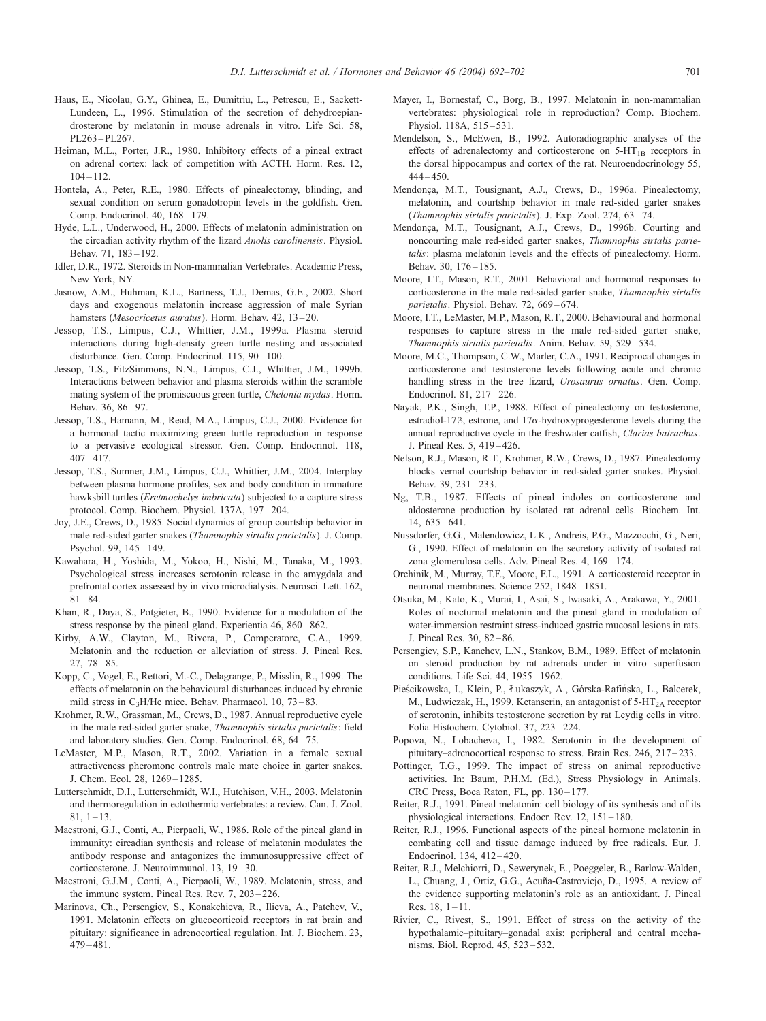- <span id="page-9-0"></span>Haus, E., Nicolau, G.Y., Ghinea, E., Dumitriu, L., Petrescu, E., Sackett-Lundeen, L., 1996. Stimulation of the secretion of dehydroepiandrosterone by melatonin in mouse adrenals in vitro. Life Sci. 58, PL263 – PL267.
- Heiman, M.L., Porter, J.R., 1980. Inhibitory effects of a pineal extract on adrenal cortex: lack of competition with ACTH. Horm. Res. 12,  $104 - 112.$
- Hontela, A., Peter, R.E., 1980. Effects of pinealectomy, blinding, and sexual condition on serum gonadotropin levels in the goldfish. Gen. Comp. Endocrinol. 40, 168-179.
- Hyde, L.L., Underwood, H., 2000. Effects of melatonin administration on the circadian activity rhythm of the lizard Anolis carolinensis. Physiol. Behav. 71, 183 – 192.
- Idler, D.R., 1972. Steroids in Non-mammalian Vertebrates. Academic Press, New York, NY.
- Jasnow, A.M., Huhman, K.L., Bartness, T.J., Demas, G.E., 2002. Short days and exogenous melatonin increase aggression of male Syrian hamsters (*Mesocricetus auratus*). Horm. Behav. 42, 13–20.
- Jessop, T.S., Limpus, C.J., Whittier, J.M., 1999a. Plasma steroid interactions during high-density green turtle nesting and associated disturbance. Gen. Comp. Endocrinol. 115, 90-100.
- Jessop, T.S., FitzSimmons, N.N., Limpus, C.J., Whittier, J.M., 1999b. Interactions between behavior and plasma steroids within the scramble mating system of the promiscuous green turtle, Chelonia mydas. Horm. Behav. 36, 86-97.
- Jessop, T.S., Hamann, M., Read, M.A., Limpus, C.J., 2000. Evidence for a hormonal tactic maximizing green turtle reproduction in response to a pervasive ecological stressor. Gen. Comp. Endocrinol. 118, 407 – 417.
- Jessop, T.S., Sumner, J.M., Limpus, C.J., Whittier, J.M., 2004. Interplay between plasma hormone profiles, sex and body condition in immature hawksbill turtles (Eretmochelys imbricata) subjected to a capture stress protocol. Comp. Biochem. Physiol. 137A, 197 – 204.
- Joy, J.E., Crews, D., 1985. Social dynamics of group courtship behavior in male red-sided garter snakes (Thamnophis sirtalis parietalis). J. Comp. Psychol. 99, 145 – 149.
- Kawahara, H., Yoshida, M., Yokoo, H., Nishi, M., Tanaka, M., 1993. Psychological stress increases serotonin release in the amygdala and prefrontal cortex assessed by in vivo microdialysis. Neurosci. Lett. 162,  $81 - 84$
- Khan, R., Daya, S., Potgieter, B., 1990. Evidence for a modulation of the stress response by the pineal gland. Experientia 46, 860–862.
- Kirby, A.W., Clayton, M., Rivera, P., Comperatore, C.A., 1999. Melatonin and the reduction or alleviation of stress. J. Pineal Res. 27, 78 – 85.
- Kopp, C., Vogel, E., Rettori, M.-C., Delagrange, P., Misslin, R., 1999. The effects of melatonin on the behavioural disturbances induced by chronic mild stress in  $C_3H$ He mice. Behav. Pharmacol. 10, 73-83.
- Krohmer, R.W., Grassman, M., Crews, D., 1987. Annual reproductive cycle in the male red-sided garter snake, Thamnophis sirtalis parietalis: field and laboratory studies. Gen. Comp. Endocrinol. 68, 64-75.
- LeMaster, M.P., Mason, R.T., 2002. Variation in a female sexual attractiveness pheromone controls male mate choice in garter snakes. J. Chem. Ecol. 28, 1269 – 1285.
- Lutterschmidt, D.I., Lutterschmidt, W.I., Hutchison, V.H., 2003. Melatonin and thermoregulation in ectothermic vertebrates: a review. Can. J. Zool.  $81, 1 - 13.$
- Maestroni, G.J., Conti, A., Pierpaoli, W., 1986. Role of the pineal gland in immunity: circadian synthesis and release of melatonin modulates the antibody response and antagonizes the immunosuppressive effect of corticosterone. J. Neuroimmunol. 13, 19 – 30.
- Maestroni, G.J.M., Conti, A., Pierpaoli, W., 1989. Melatonin, stress, and the immune system. Pineal Res. Rev. 7, 203 – 226.
- Marinova, Ch., Persengiev, S., Konakchieva, R., Ilieva, A., Patchev, V., 1991. Melatonin effects on glucocorticoid receptors in rat brain and pituitary: significance in adrenocortical regulation. Int. J. Biochem. 23, 479 – 481.
- Mayer, I., Bornestaf, C., Borg, B., 1997. Melatonin in non-mammalian vertebrates: physiological role in reproduction? Comp. Biochem. Physiol. 118A, 515-531.
- Mendelson, S., McEwen, B., 1992. Autoradiographic analyses of the effects of adrenalectomy and corticosterone on  $5-HT_{1B}$  receptors in the dorsal hippocampus and cortex of the rat. Neuroendocrinology 55,  $444 - 450.$
- Mendonça, M.T., Tousignant, A.J., Crews, D., 1996a. Pinealectomy, melatonin, and courtship behavior in male red-sided garter snakes (Thamnophis sirtalis parietalis). J. Exp. Zool. 274, 63-74.
- Mendonca, M.T., Tousignant, A.J., Crews, D., 1996b. Courting and noncourting male red-sided garter snakes, Thamnophis sirtalis parietalis: plasma melatonin levels and the effects of pinealectomy. Horm. Behav. 30, 176 – 185.
- Moore, I.T., Mason, R.T., 2001. Behavioral and hormonal responses to corticosterone in the male red-sided garter snake, Thamnophis sirtalis parietalis. Physiol. Behav. 72, 669-674.
- Moore, I.T., LeMaster, M.P., Mason, R.T., 2000. Behavioural and hormonal responses to capture stress in the male red-sided garter snake, Thamnophis sirtalis parietalis. Anim. Behav. 59, 529 – 534.
- Moore, M.C., Thompson, C.W., Marler, C.A., 1991. Reciprocal changes in corticosterone and testosterone levels following acute and chronic handling stress in the tree lizard, *Urosaurus ornatus*. Gen. Comp. Endocrinol. 81, 217 – 226.
- Nayak, P.K., Singh, T.P., 1988. Effect of pinealectomy on testosterone, estradiol-17 $\beta$ , estrone, and 17 $\alpha$ -hydroxyprogesterone levels during the annual reproductive cycle in the freshwater catfish, Clarias batrachus. J. Pineal Res. 5, 419 – 426.
- Nelson, R.J., Mason, R.T., Krohmer, R.W., Crews, D., 1987. Pinealectomy blocks vernal courtship behavior in red-sided garter snakes. Physiol. Behav. 39, 231 – 233.
- Ng, T.B., 1987. Effects of pineal indoles on corticosterone and aldosterone production by isolated rat adrenal cells. Biochem. Int. 14, 635 – 641.
- Nussdorfer, G.G., Malendowicz, L.K., Andreis, P.G., Mazzocchi, G., Neri, G., 1990. Effect of melatonin on the secretory activity of isolated rat zona glomerulosa cells. Adv. Pineal Res. 4, 169 – 174.
- Orchinik, M., Murray, T.F., Moore, F.L., 1991. A corticosteroid receptor in neuronal membranes. Science 252, 1848 – 1851.
- Otsuka, M., Kato, K., Murai, I., Asai, S., Iwasaki, A., Arakawa, Y., 2001. Roles of nocturnal melatonin and the pineal gland in modulation of water-immersion restraint stress-induced gastric mucosal lesions in rats. J. Pineal Res. 30, 82 – 86.
- Persengiev, S.P., Kanchev, L.N., Stankov, B.M., 1989. Effect of melatonin on steroid production by rat adrenals under in vitro superfusion conditions. Life Sci. 44, 1955 – 1962.
- Pieścikowska, I., Klein, P., Łukaszyk, A., Górska-Rafińska, L., Balcerek, M., Ludwiczak, H., 1999. Ketanserin, an antagonist of 5-HT<sub>2A</sub> receptor of serotonin, inhibits testosterone secretion by rat Leydig cells in vitro. Folia Histochem. Cytobiol. 37, 223 – 224.
- Popova, N., Lobacheva, I., 1982. Serotonin in the development of pituitary–adrenocortical response to stress. Brain Res. 246, 217–233.
- Pottinger, T.G., 1999. The impact of stress on animal reproductive activities. In: Baum, P.H.M. (Ed.), Stress Physiology in Animals. CRC Press, Boca Raton, FL, pp. 130-177.
- Reiter, R.J., 1991. Pineal melatonin: cell biology of its synthesis and of its physiological interactions. Endocr. Rev. 12, 151 – 180.
- Reiter, R.J., 1996. Functional aspects of the pineal hormone melatonin in combating cell and tissue damage induced by free radicals. Eur. J. Endocrinol. 134, 412 – 420.
- Reiter, R.J., Melchiorri, D., Sewerynek, E., Poeggeler, B., Barlow-Walden, L., Chuang, J., Ortiz, G.G., Acuña-Castroviejo, D., 1995. A review of the evidence supporting melatonin's role as an antioxidant. J. Pineal Res.  $18, 1 - 11$ .
- Rivier, C., Rivest, S., 1991. Effect of stress on the activity of the hypothalamic–pituitary–gonadal axis: peripheral and central mechanisms. Biol. Reprod. 45, 523 – 532.